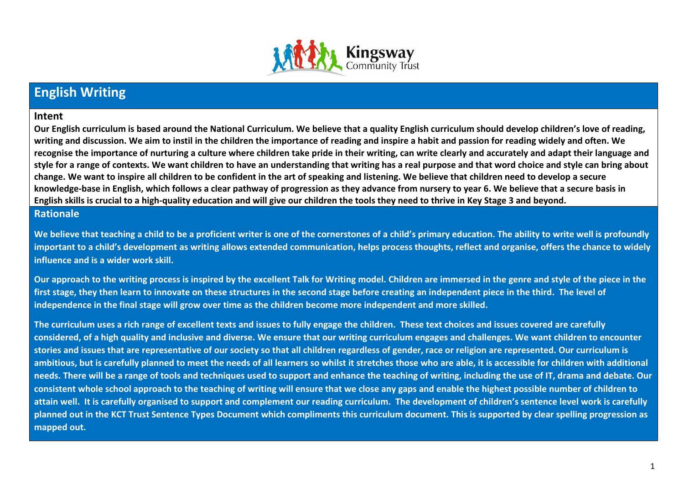

# **English Writing**

#### **Intent**

**Our English curriculum is based around the National Curriculum. We believe that a quality English curriculum should develop children's love of reading, writing and discussion. We aim to instil in the children the importance of reading and inspire a habit and passion for reading widely and often. We recognise the importance of nurturing a culture where children take pride in their writing, can write clearly and accurately and adapt their language and style for a range of contexts. We want children to have an understanding that writing has a real purpose and that word choice and style can bring about change. We want to inspire all children to be confident in the art of speaking and listening. We believe that children need to develop a secure knowledge-base in English, which follows a clear pathway of progression as they advance from nursery to year 6. We believe that a secure basis in English skills is crucial to a high-quality education and will give our children the tools they need to thrive in Key Stage 3 and beyond.**

### **Rationale**

**We believe that teaching a child to be a proficient writer is one of the cornerstones of a child's primary education. The ability to write well is profoundly important to a child's development as writing allows extended communication, helps process thoughts, reflect and organise, offers the chance to widely influence and is a wider work skill.** 

**Our approach to the writing process is inspired by the excellent Talk for Writing model. Children are immersed in the genre and style of the piece in the first stage, they then learn to innovate on these structures in the second stage before creating an independent piece in the third. The level of independence in the final stage will grow over time as the children become more independent and more skilled.** 

**The curriculum uses a rich range of excellent texts and issues to fully engage the children. These text choices and issues covered are carefully considered, of a high quality and inclusive and diverse. We ensure that our writing curriculum engages and challenges. We want children to encounter stories and issues that are representative of our society so that all children regardless of gender, race or religion are represented. Our curriculum is ambitious, but is carefully planned to meet the needs of all learners so whilst it stretches those who are able, it is accessible for children with additional needs. There will be a range of tools and techniques used to support and enhance the teaching of writing, including the use of IT, drama and debate. Our consistent whole school approach to the teaching of writing will ensure that we close any gaps and enable the highest possible number of children to attain well. It is carefully organised to support and complement our reading curriculum. The development of children's sentence level work is carefully planned out in the KCT Trust Sentence Types Document which compliments this curriculum document. This is supported by clear spelling progression as mapped out.**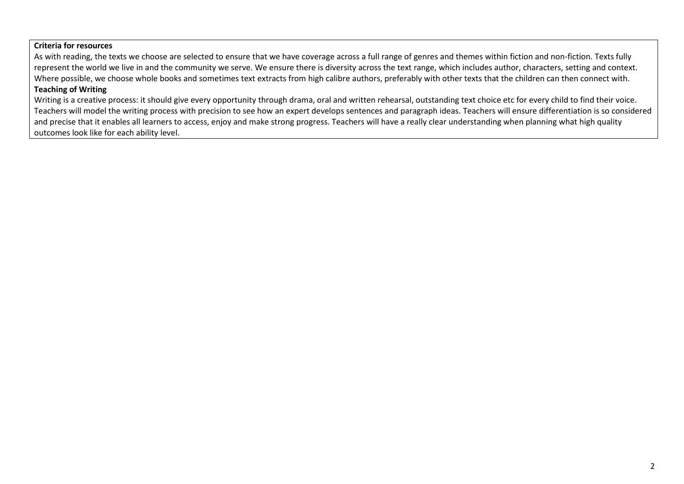#### **Criteria for resources**

As with reading, the texts we choose are selected to ensure that we have coverage across a full range of genres and themes within fiction and non-fiction. Texts fully represent the world we live in and the community we serve. We ensure there is diversity across the text range, which includes author, characters, setting and context. Where possible, we choose whole books and sometimes text extracts from high calibre authors, preferably with other texts that the children can then connect with.

## **Teaching of Writing**

Writing is a creative process: it should give every opportunity through drama, oral and written rehearsal, outstanding text choice etc for every child to find their voice. Teachers will model the writing process with precision to see how an expert develops sentences and paragraph ideas. Teachers will ensure differentiation is so considered and precise that it enables all learners to access, enjoy and make strong progress. Teachers will have a really clear understanding when planning what high quality outcomes look like for each ability level.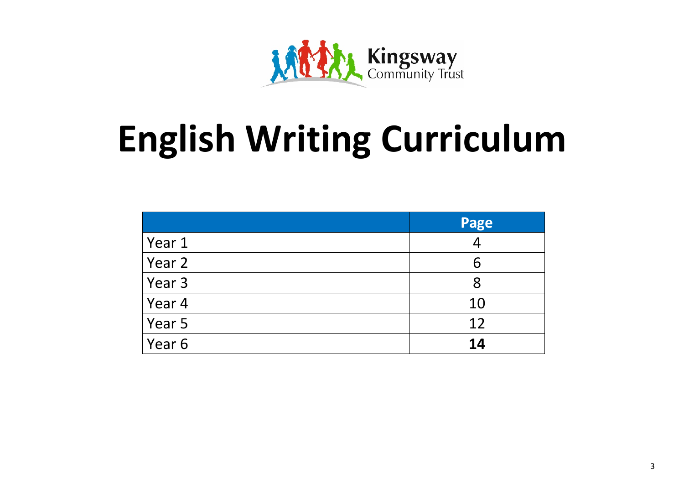

# **English Writing Curriculum**

|        | Page |
|--------|------|
| Year 1 |      |
| Year 2 | 6    |
| Year 3 | 8    |
| Year 4 | 10   |
| Year 5 | 12   |
| Year 6 | 14   |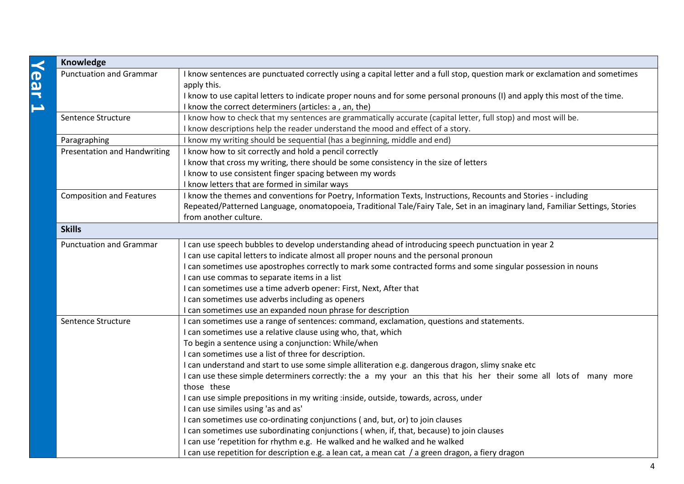| Knowledge                           |                                                                                                                                                                                                                                                                           |
|-------------------------------------|---------------------------------------------------------------------------------------------------------------------------------------------------------------------------------------------------------------------------------------------------------------------------|
| <b>Punctuation and Grammar</b>      | I know sentences are punctuated correctly using a capital letter and a full stop, question mark or exclamation and sometimes<br>apply this.<br>I know to use capital letters to indicate proper nouns and for some personal pronouns (I) and apply this most of the time. |
|                                     | I know the correct determiners (articles: a, an, the)                                                                                                                                                                                                                     |
| Sentence Structure                  | I know how to check that my sentences are grammatically accurate (capital letter, full stop) and most will be.                                                                                                                                                            |
|                                     | I know descriptions help the reader understand the mood and effect of a story.                                                                                                                                                                                            |
| Paragraphing                        | I know my writing should be sequential (has a beginning, middle and end)                                                                                                                                                                                                  |
| <b>Presentation and Handwriting</b> | I know how to sit correctly and hold a pencil correctly                                                                                                                                                                                                                   |
|                                     | I know that cross my writing, there should be some consistency in the size of letters                                                                                                                                                                                     |
|                                     | I know to use consistent finger spacing between my words                                                                                                                                                                                                                  |
|                                     | I know letters that are formed in similar ways                                                                                                                                                                                                                            |
| <b>Composition and Features</b>     | I know the themes and conventions for Poetry, Information Texts, Instructions, Recounts and Stories - including                                                                                                                                                           |
|                                     | Repeated/Patterned Language, onomatopoeia, Traditional Tale/Fairy Tale, Set in an imaginary land, Familiar Settings, Stories                                                                                                                                              |
|                                     | from another culture.                                                                                                                                                                                                                                                     |
| <b>Skills</b>                       |                                                                                                                                                                                                                                                                           |
| <b>Punctuation and Grammar</b>      | I can use speech bubbles to develop understanding ahead of introducing speech punctuation in year 2                                                                                                                                                                       |
|                                     | I can use capital letters to indicate almost all proper nouns and the personal pronoun                                                                                                                                                                                    |
|                                     | I can sometimes use apostrophes correctly to mark some contracted forms and some singular possession in nouns                                                                                                                                                             |
|                                     | I can use commas to separate items in a list                                                                                                                                                                                                                              |
|                                     | I can sometimes use a time adverb opener: First, Next, After that                                                                                                                                                                                                         |
|                                     | I can sometimes use adverbs including as openers                                                                                                                                                                                                                          |
|                                     | I can sometimes use an expanded noun phrase for description                                                                                                                                                                                                               |
| Sentence Structure                  | I can sometimes use a range of sentences: command, exclamation, questions and statements.                                                                                                                                                                                 |
|                                     | I can sometimes use a relative clause using who, that, which                                                                                                                                                                                                              |
|                                     | To begin a sentence using a conjunction: While/when                                                                                                                                                                                                                       |
|                                     | I can sometimes use a list of three for description.                                                                                                                                                                                                                      |
|                                     | I can understand and start to use some simple alliteration e.g. dangerous dragon, slimy snake etc                                                                                                                                                                         |
|                                     | I can use these simple determiners correctly: the a my your an this that his her their some all lots of many more                                                                                                                                                         |
|                                     | those these                                                                                                                                                                                                                                                               |
|                                     | I can use simple prepositions in my writing :inside, outside, towards, across, under                                                                                                                                                                                      |
|                                     | I can use similes using 'as and as'                                                                                                                                                                                                                                       |
|                                     | I can sometimes use co-ordinating conjunctions (and, but, or) to join clauses                                                                                                                                                                                             |
|                                     | I can sometimes use subordinating conjunctions (when, if, that, because) to join clauses                                                                                                                                                                                  |
|                                     | I can use 'repetition for rhythm e.g. He walked and he walked and he walked                                                                                                                                                                                               |
|                                     | I can use repetition for description e.g. a lean cat, a mean cat / a green dragon, a fiery dragon                                                                                                                                                                         |

**Year 1**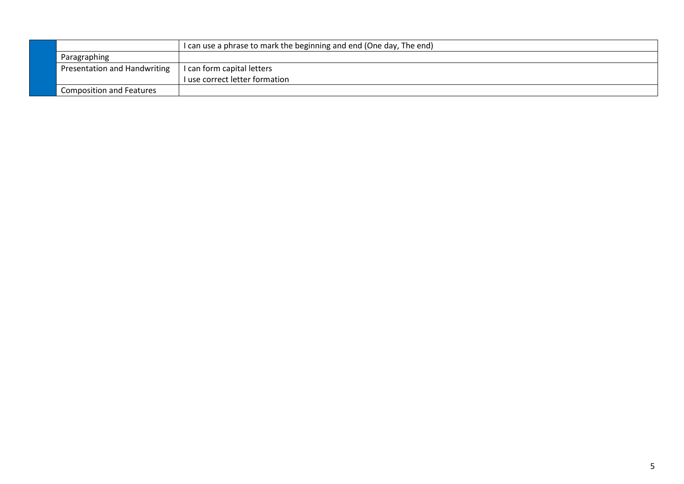|                                 | I can use a phrase to mark the beginning and end (One day, The end) |
|---------------------------------|---------------------------------------------------------------------|
| Paragraphing                    |                                                                     |
| Presentation and Handwriting    | I can form capital letters                                          |
|                                 | I use correct letter formation                                      |
| <b>Composition and Features</b> |                                                                     |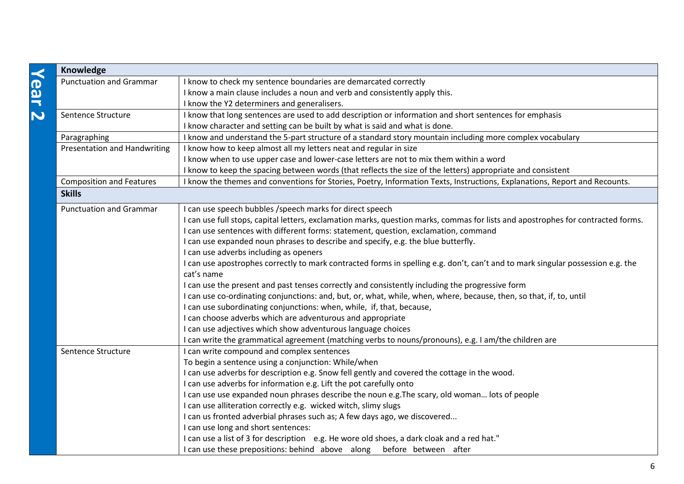|               | Knowledge                           |                                                                                                                                  |
|---------------|-------------------------------------|----------------------------------------------------------------------------------------------------------------------------------|
| <b>Year 2</b> | <b>Punctuation and Grammar</b>      | I know to check my sentence boundaries are demarcated correctly                                                                  |
|               |                                     | I know a main clause includes a noun and verb and consistently apply this.                                                       |
|               |                                     | I know the Y2 determiners and generalisers.                                                                                      |
|               | Sentence Structure                  | I know that long sentences are used to add description or information and short sentences for emphasis                           |
|               |                                     | I know character and setting can be built by what is said and what is done.                                                      |
|               | Paragraphing                        | I know and understand the 5-part structure of a standard story mountain including more complex vocabulary                        |
|               | <b>Presentation and Handwriting</b> | I know how to keep almost all my letters neat and regular in size                                                                |
|               |                                     | I know when to use upper case and lower-case letters are not to mix them within a word                                           |
|               |                                     | I know to keep the spacing between words (that reflects the size of the letters) appropriate and consistent                      |
|               | <b>Composition and Features</b>     | I know the themes and conventions for Stories, Poetry, Information Texts, Instructions, Explanations, Report and Recounts.       |
|               | <b>Skills</b>                       |                                                                                                                                  |
|               | <b>Punctuation and Grammar</b>      | I can use speech bubbles / speech marks for direct speech                                                                        |
|               |                                     | I can use full stops, capital letters, exclamation marks, question marks, commas for lists and apostrophes for contracted forms. |
|               |                                     | I can use sentences with different forms: statement, question, exclamation, command                                              |
|               |                                     | I can use expanded noun phrases to describe and specify, e.g. the blue butterfly.                                                |
|               |                                     | I can use adverbs including as openers                                                                                           |
|               |                                     | I can use apostrophes correctly to mark contracted forms in spelling e.g. don't, can't and to mark singular possession e.g. the  |
|               |                                     | cat's name                                                                                                                       |
|               |                                     | I can use the present and past tenses correctly and consistently including the progressive form                                  |
|               |                                     | I can use co-ordinating conjunctions: and, but, or, what, while, when, where, because, then, so that, if, to, until              |
|               |                                     | I can use subordinating conjunctions: when, while, if, that, because,                                                            |
|               |                                     | I can choose adverbs which are adventurous and appropriate                                                                       |
|               |                                     | I can use adjectives which show adventurous language choices                                                                     |
|               |                                     | I can write the grammatical agreement (matching verbs to nouns/pronouns), e.g. I am/the children are                             |
|               | Sentence Structure                  | I can write compound and complex sentences                                                                                       |
|               |                                     | To begin a sentence using a conjunction: While/when                                                                              |
|               |                                     | I can use adverbs for description e.g. Snow fell gently and covered the cottage in the wood.                                     |
|               |                                     | I can use adverbs for information e.g. Lift the pot carefully onto                                                               |
|               |                                     | I can use use expanded noun phrases describe the noun e.g. The scary, old woman lots of people                                   |
|               |                                     | I can use alliteration correctly e.g. wicked witch, slimy slugs                                                                  |
|               |                                     | I can us fronted adverbial phrases such as; A few days ago, we discovered                                                        |
|               |                                     | I can use long and short sentences:                                                                                              |
|               |                                     | I can use a list of 3 for description e.g. He wore old shoes, a dark cloak and a red hat."                                       |
|               |                                     | I can use these prepositions: behind above along before between after                                                            |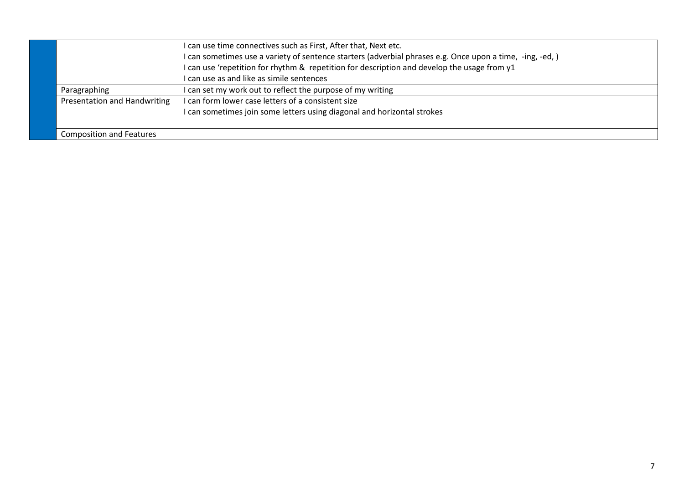|                                     | I can use time connectives such as First, After that, Next etc.                                          |
|-------------------------------------|----------------------------------------------------------------------------------------------------------|
|                                     | I can sometimes use a variety of sentence starters (adverbial phrases e.g. Once upon a time, -ing, -ed,) |
|                                     | I can use 'repetition for rhythm & repetition for description and develop the usage from y1              |
|                                     | I can use as and like as simile sentences                                                                |
| Paragraphing                        | I can set my work out to reflect the purpose of my writing                                               |
| <b>Presentation and Handwriting</b> | I can form lower case letters of a consistent size                                                       |
|                                     | I can sometimes join some letters using diagonal and horizontal strokes                                  |
|                                     |                                                                                                          |
| <b>Composition and Features</b>     |                                                                                                          |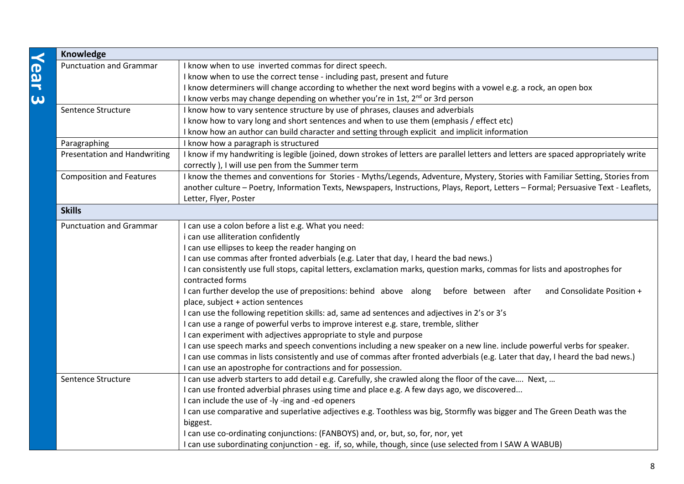| <b>Knowledge</b>                    |                                                                                                                                      |  |
|-------------------------------------|--------------------------------------------------------------------------------------------------------------------------------------|--|
| <b>Punctuation and Grammar</b>      | I know when to use inverted commas for direct speech.                                                                                |  |
|                                     | I know when to use the correct tense - including past, present and future                                                            |  |
|                                     | I know determiners will change according to whether the next word begins with a vowel e.g. a rock, an open box                       |  |
|                                     | I know verbs may change depending on whether you're in 1st, 2 <sup>nd</sup> or 3rd person                                            |  |
| Sentence Structure                  | I know how to vary sentence structure by use of phrases, clauses and adverbials                                                      |  |
|                                     | I know how to vary long and short sentences and when to use them (emphasis / effect etc)                                             |  |
|                                     | I know how an author can build character and setting through explicit and implicit information                                       |  |
| Paragraphing                        | I know how a paragraph is structured                                                                                                 |  |
| <b>Presentation and Handwriting</b> | I know if my handwriting is legible (joined, down strokes of letters are parallel letters and letters are spaced appropriately write |  |
|                                     | correctly ), I will use pen from the Summer term                                                                                     |  |
| <b>Composition and Features</b>     | I know the themes and conventions for Stories - Myths/Legends, Adventure, Mystery, Stories with Familiar Setting, Stories from       |  |
|                                     | another culture - Poetry, Information Texts, Newspapers, Instructions, Plays, Report, Letters - Formal; Persuasive Text - Leaflets,  |  |
|                                     | Letter, Flyer, Poster                                                                                                                |  |
| <b>Skills</b>                       |                                                                                                                                      |  |
| <b>Punctuation and Grammar</b>      | I can use a colon before a list e.g. What you need:                                                                                  |  |
|                                     | i can use alliteration confidently                                                                                                   |  |
|                                     | I can use ellipses to keep the reader hanging on                                                                                     |  |
|                                     | I can use commas after fronted adverbials (e.g. Later that day, I heard the bad news.)                                               |  |
|                                     | I can consistently use full stops, capital letters, exclamation marks, question marks, commas for lists and apostrophes for          |  |
|                                     | contracted forms                                                                                                                     |  |
|                                     | I can further develop the use of prepositions: behind above along<br>before between after<br>and Consolidate Position +              |  |
|                                     | place, subject + action sentences                                                                                                    |  |
|                                     | I can use the following repetition skills: ad, same ad sentences and adjectives in 2's or 3's                                        |  |
|                                     | I can use a range of powerful verbs to improve interest e.g. stare, tremble, slither                                                 |  |
|                                     | I can experiment with adjectives appropriate to style and purpose                                                                    |  |
|                                     | I can use speech marks and speech conventions including a new speaker on a new line. include powerful verbs for speaker.             |  |
|                                     | I can use commas in lists consistently and use of commas after fronted adverbials (e.g. Later that day, I heard the bad news.)       |  |
|                                     | I can use an apostrophe for contractions and for possession.                                                                         |  |
| Sentence Structure                  | I can use adverb starters to add detail e.g. Carefully, she crawled along the floor of the cave Next,                                |  |
|                                     | I can use fronted adverbial phrases using time and place e.g. A few days ago, we discovered                                          |  |
|                                     | I can include the use of -ly -ing and -ed openers                                                                                    |  |
|                                     | I can use comparative and superlative adjectives e.g. Toothless was big, Stormfly was bigger and The Green Death was the             |  |
|                                     | biggest.                                                                                                                             |  |
|                                     | I can use co-ordinating conjunctions: (FANBOYS) and, or, but, so, for, nor, yet                                                      |  |
|                                     | I can use subordinating conjunction - eg. if, so, while, though, since (use selected from I SAW A WABUB)                             |  |

**Year 3**

8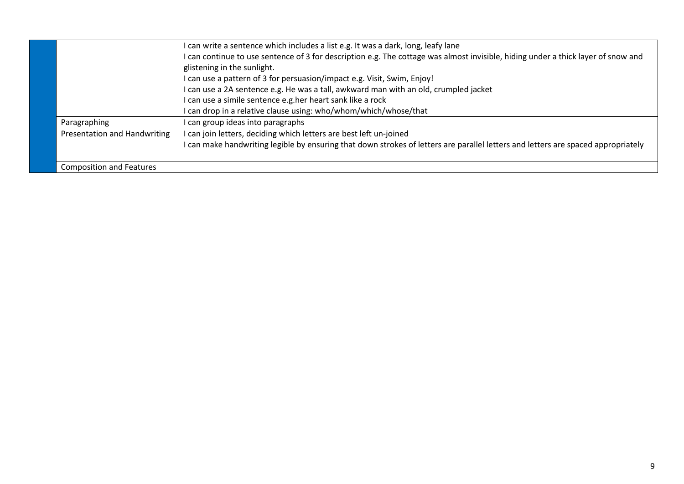|                                     | I can write a sentence which includes a list e.g. It was a dark, long, leafy lane                                                                                |
|-------------------------------------|------------------------------------------------------------------------------------------------------------------------------------------------------------------|
|                                     | I can continue to use sentence of 3 for description e.g. The cottage was almost invisible, hiding under a thick layer of snow and<br>glistening in the sunlight. |
|                                     | I can use a pattern of 3 for persuasion/impact e.g. Visit, Swim, Enjoy!                                                                                          |
|                                     | I can use a 2A sentence e.g. He was a tall, awkward man with an old, crumpled jacket                                                                             |
|                                     | I can use a simile sentence e.g.her heart sank like a rock                                                                                                       |
|                                     | can drop in a relative clause using: who/whom/which/whose/that                                                                                                   |
| Paragraphing                        | can group ideas into paragraphs                                                                                                                                  |
| <b>Presentation and Handwriting</b> | can join letters, deciding which letters are best left un-joined                                                                                                 |
|                                     | can make handwriting legible by ensuring that down strokes of letters are parallel letters and letters are spaced appropriately                                  |
|                                     |                                                                                                                                                                  |
| <b>Composition and Features</b>     |                                                                                                                                                                  |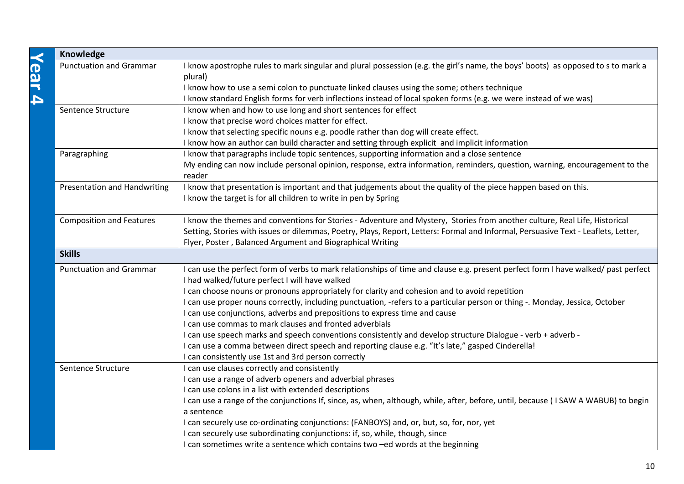| Knowledge                           |                                                                                                                                                                                      |  |
|-------------------------------------|--------------------------------------------------------------------------------------------------------------------------------------------------------------------------------------|--|
| <b>Punctuation and Grammar</b>      | I know apostrophe rules to mark singular and plural possession (e.g. the girl's name, the boys' boots) as opposed to s to mark a<br>plural)                                          |  |
|                                     | I know how to use a semi colon to punctuate linked clauses using the some; others technique                                                                                          |  |
|                                     | I know standard English forms for verb inflections instead of local spoken forms (e.g. we were instead of we was)                                                                    |  |
| Sentence Structure                  | I know when and how to use long and short sentences for effect                                                                                                                       |  |
|                                     | I know that precise word choices matter for effect.                                                                                                                                  |  |
|                                     | I know that selecting specific nouns e.g. poodle rather than dog will create effect.                                                                                                 |  |
|                                     | I know how an author can build character and setting through explicit and implicit information                                                                                       |  |
| Paragraphing                        | I know that paragraphs include topic sentences, supporting information and a close sentence                                                                                          |  |
|                                     | My ending can now include personal opinion, response, extra information, reminders, question, warning, encouragement to the                                                          |  |
|                                     | reader                                                                                                                                                                               |  |
| <b>Presentation and Handwriting</b> | I know that presentation is important and that judgements about the quality of the piece happen based on this.                                                                       |  |
|                                     | I know the target is for all children to write in pen by Spring                                                                                                                      |  |
| <b>Composition and Features</b>     | I know the themes and conventions for Stories - Adventure and Mystery, Stories from another culture, Real Life, Historical                                                           |  |
|                                     | Setting, Stories with issues or dilemmas, Poetry, Plays, Report, Letters: Formal and Informal, Persuasive Text - Leaflets, Letter,                                                   |  |
|                                     | Flyer, Poster, Balanced Argument and Biographical Writing                                                                                                                            |  |
| <b>Skills</b>                       |                                                                                                                                                                                      |  |
| <b>Punctuation and Grammar</b>      | I can use the perfect form of verbs to mark relationships of time and clause e.g. present perfect form I have walked/ past perfect<br>I had walked/future perfect I will have walked |  |
|                                     | I can choose nouns or pronouns appropriately for clarity and cohesion and to avoid repetition                                                                                        |  |
|                                     | I can use proper nouns correctly, including punctuation, -refers to a particular person or thing -. Monday, Jessica, October                                                         |  |
|                                     | I can use conjunctions, adverbs and prepositions to express time and cause                                                                                                           |  |
|                                     | I can use commas to mark clauses and fronted adverbials                                                                                                                              |  |
|                                     | I can use speech marks and speech conventions consistently and develop structure Dialogue - verb + adverb -                                                                          |  |
|                                     | I can use a comma between direct speech and reporting clause e.g. "It's late," gasped Cinderella!                                                                                    |  |
|                                     | I can consistently use 1st and 3rd person correctly                                                                                                                                  |  |
| Sentence Structure                  | I can use clauses correctly and consistently                                                                                                                                         |  |
|                                     | I can use a range of adverb openers and adverbial phrases                                                                                                                            |  |
|                                     | I can use colons in a list with extended descriptions                                                                                                                                |  |
|                                     | I can use a range of the conjunctions If, since, as, when, although, while, after, before, until, because (I SAW A WABUB) to begin                                                   |  |
|                                     | a sentence                                                                                                                                                                           |  |
|                                     | I can securely use co-ordinating conjunctions: (FANBOYS) and, or, but, so, for, nor, yet                                                                                             |  |
|                                     | I can securely use subordinating conjunctions: if, so, while, though, since                                                                                                          |  |
|                                     | I can sometimes write a sentence which contains two -ed words at the beginning                                                                                                       |  |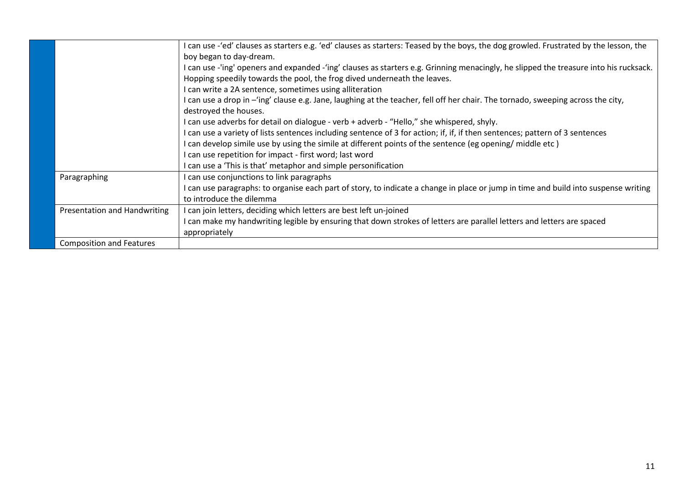|                                     | I can use -'ed' clauses as starters e.g. 'ed' clauses as starters: Teased by the boys, the dog growled. Frustrated by the lesson, the |
|-------------------------------------|---------------------------------------------------------------------------------------------------------------------------------------|
|                                     | boy began to day-dream.                                                                                                               |
|                                     | I can use -'ing' openers and expanded -'ing' clauses as starters e.g. Grinning menacingly, he slipped the treasure into his rucksack. |
|                                     | Hopping speedily towards the pool, the frog dived underneath the leaves.                                                              |
|                                     | I can write a 2A sentence, sometimes using alliteration                                                                               |
|                                     | I can use a drop in - 'ing' clause e.g. Jane, laughing at the teacher, fell off her chair. The tornado, sweeping across the city,     |
|                                     | destroyed the houses.                                                                                                                 |
|                                     | I can use adverbs for detail on dialogue - verb + adverb - "Hello," she whispered, shyly.                                             |
|                                     | I can use a variety of lists sentences including sentence of 3 for action; if, if, if then sentences; pattern of 3 sentences          |
|                                     | I can develop simile use by using the simile at different points of the sentence (eg opening/ middle etc)                             |
|                                     | can use repetition for impact - first word; last word                                                                                 |
|                                     | can use a 'This is that' metaphor and simple personification                                                                          |
| Paragraphing                        | can use conjunctions to link paragraphs                                                                                               |
|                                     | I can use paragraphs: to organise each part of story, to indicate a change in place or jump in time and build into suspense writing   |
|                                     | to introduce the dilemma                                                                                                              |
| <b>Presentation and Handwriting</b> | I can join letters, deciding which letters are best left un-joined                                                                    |
|                                     | I can make my handwriting legible by ensuring that down strokes of letters are parallel letters and letters are spaced                |
|                                     | appropriately                                                                                                                         |
| <b>Composition and Features</b>     |                                                                                                                                       |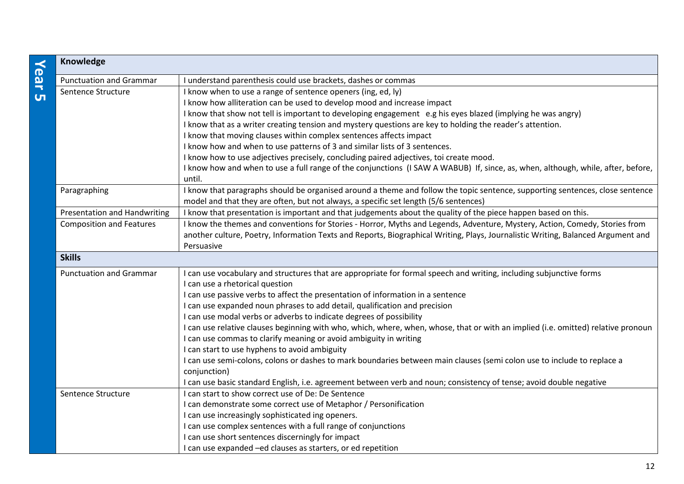| Knowledge                           |                                                                                                                                                                           |
|-------------------------------------|---------------------------------------------------------------------------------------------------------------------------------------------------------------------------|
| <b>Punctuation and Grammar</b>      | I understand parenthesis could use brackets, dashes or commas                                                                                                             |
| Sentence Structure                  | I know when to use a range of sentence openers (ing, ed, ly)                                                                                                              |
|                                     | I know how alliteration can be used to develop mood and increase impact                                                                                                   |
|                                     | I know that show not tell is important to developing engagement e.g his eyes blazed (implying he was angry)                                                               |
|                                     | I know that as a writer creating tension and mystery questions are key to holding the reader's attention.                                                                 |
|                                     | I know that moving clauses within complex sentences affects impact                                                                                                        |
|                                     | I know how and when to use patterns of 3 and similar lists of 3 sentences.                                                                                                |
|                                     | I know how to use adjectives precisely, concluding paired adjectives, toi create mood.                                                                                    |
|                                     | I know how and when to use a full range of the conjunctions (I SAW A WABUB) If, since, as, when, although, while, after, before,                                          |
|                                     | until.                                                                                                                                                                    |
| Paragraphing                        | I know that paragraphs should be organised around a theme and follow the topic sentence, supporting sentences, close sentence                                             |
|                                     | model and that they are often, but not always, a specific set length (5/6 sentences)                                                                                      |
| <b>Presentation and Handwriting</b> | I know that presentation is important and that judgements about the quality of the piece happen based on this.                                                            |
| <b>Composition and Features</b>     | I know the themes and conventions for Stories - Horror, Myths and Legends, Adventure, Mystery, Action, Comedy, Stories from                                               |
|                                     | another culture, Poetry, Information Texts and Reports, Biographical Writing, Plays, Journalistic Writing, Balanced Argument and                                          |
|                                     | Persuasive                                                                                                                                                                |
| <b>Skills</b>                       |                                                                                                                                                                           |
| <b>Punctuation and Grammar</b>      | I can use vocabulary and structures that are appropriate for formal speech and writing, including subjunctive forms                                                       |
|                                     | I can use a rhetorical question                                                                                                                                           |
|                                     | I can use passive verbs to affect the presentation of information in a sentence                                                                                           |
|                                     | I can use expanded noun phrases to add detail, qualification and precision                                                                                                |
|                                     | I can use modal verbs or adverbs to indicate degrees of possibility                                                                                                       |
|                                     | I can use relative clauses beginning with who, which, where, when, whose, that or with an implied (i.e. omitted) relative pronoun                                         |
|                                     | I can use commas to clarify meaning or avoid ambiguity in writing                                                                                                         |
|                                     | I can start to use hyphens to avoid ambiguity                                                                                                                             |
|                                     | I can use semi-colons, colons or dashes to mark boundaries between main clauses (semi colon use to include to replace a                                                   |
|                                     | conjunction)                                                                                                                                                              |
|                                     | I can use basic standard English, i.e. agreement between verb and noun; consistency of tense; avoid double negative<br>I can start to show correct use of De: De Sentence |
| Sentence Structure                  |                                                                                                                                                                           |
|                                     | I can demonstrate some correct use of Metaphor / Personification                                                                                                          |
|                                     | I can use increasingly sophisticated ing openers.                                                                                                                         |
|                                     | I can use complex sentences with a full range of conjunctions                                                                                                             |
|                                     | I can use short sentences discerningly for impact                                                                                                                         |
|                                     | I can use expanded -ed clauses as starters, or ed repetition                                                                                                              |

# **Year 5**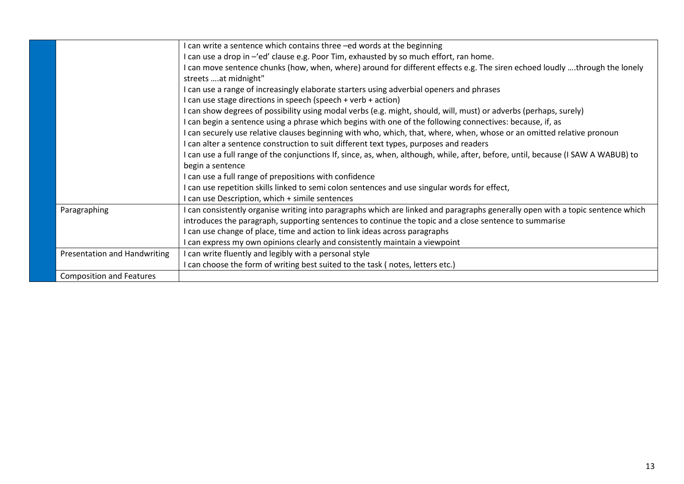|                                     | I can write a sentence which contains three -ed words at the beginning                                                                             |
|-------------------------------------|----------------------------------------------------------------------------------------------------------------------------------------------------|
|                                     | I can use a drop in -'ed' clause e.g. Poor Tim, exhausted by so much effort, ran home.                                                             |
|                                     | I can move sentence chunks (how, when, where) around for different effects e.g. The siren echoed loudly through the lonely<br>streets at midnight" |
|                                     | I can use a range of increasingly elaborate starters using adverbial openers and phrases                                                           |
|                                     | I can use stage directions in speech (speech + verb + action)                                                                                      |
|                                     | I can show degrees of possibility using modal verbs (e.g. might, should, will, must) or adverbs (perhaps, surely)                                  |
|                                     | I can begin a sentence using a phrase which begins with one of the following connectives: because, if, as                                          |
|                                     | I can securely use relative clauses beginning with who, which, that, where, when, whose or an omitted relative pronoun                             |
|                                     | I can alter a sentence construction to suit different text types, purposes and readers                                                             |
|                                     | I can use a full range of the conjunctions If, since, as, when, although, while, after, before, until, because (I SAW A WABUB) to                  |
|                                     | begin a sentence                                                                                                                                   |
|                                     | I can use a full range of prepositions with confidence                                                                                             |
|                                     | I can use repetition skills linked to semi colon sentences and use singular words for effect,                                                      |
|                                     | I can use Description, which + simile sentences                                                                                                    |
| Paragraphing                        | I can consistently organise writing into paragraphs which are linked and paragraphs generally open with a topic sentence which                     |
|                                     | introduces the paragraph, supporting sentences to continue the topic and a close sentence to summarise                                             |
|                                     | I can use change of place, time and action to link ideas across paragraphs                                                                         |
|                                     | I can express my own opinions clearly and consistently maintain a viewpoint                                                                        |
| <b>Presentation and Handwriting</b> | I can write fluently and legibly with a personal style                                                                                             |
|                                     | I can choose the form of writing best suited to the task (notes, letters etc.)                                                                     |
| <b>Composition and Features</b>     |                                                                                                                                                    |
|                                     |                                                                                                                                                    |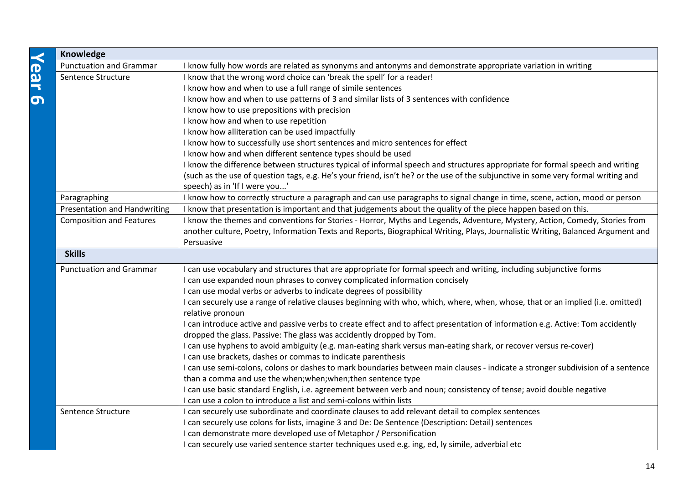| Knowledge                           |                                                                                                                                   |  |
|-------------------------------------|-----------------------------------------------------------------------------------------------------------------------------------|--|
| <b>Punctuation and Grammar</b>      | I know fully how words are related as synonyms and antonyms and demonstrate appropriate variation in writing                      |  |
| Sentence Structure                  | I know that the wrong word choice can 'break the spell' for a reader!                                                             |  |
|                                     | I know how and when to use a full range of simile sentences                                                                       |  |
|                                     | I know how and when to use patterns of 3 and similar lists of 3 sentences with confidence                                         |  |
|                                     | I know how to use prepositions with precision                                                                                     |  |
|                                     | I know how and when to use repetition                                                                                             |  |
|                                     | I know how alliteration can be used impactfully                                                                                   |  |
|                                     | I know how to successfully use short sentences and micro sentences for effect                                                     |  |
|                                     | I know how and when different sentence types should be used                                                                       |  |
|                                     | I know the difference between structures typical of informal speech and structures appropriate for formal speech and writing      |  |
|                                     | (such as the use of question tags, e.g. He's your friend, isn't he? or the use of the subjunctive in some very formal writing and |  |
|                                     | speech) as in 'If I were you'                                                                                                     |  |
| Paragraphing                        | I know how to correctly structure a paragraph and can use paragraphs to signal change in time, scene, action, mood or person      |  |
| <b>Presentation and Handwriting</b> | I know that presentation is important and that judgements about the quality of the piece happen based on this.                    |  |
| <b>Composition and Features</b>     | I know the themes and conventions for Stories - Horror, Myths and Legends, Adventure, Mystery, Action, Comedy, Stories from       |  |
|                                     | another culture, Poetry, Information Texts and Reports, Biographical Writing, Plays, Journalistic Writing, Balanced Argument and  |  |
|                                     | Persuasive                                                                                                                        |  |
| <b>Skills</b>                       |                                                                                                                                   |  |
| <b>Punctuation and Grammar</b>      | I can use vocabulary and structures that are appropriate for formal speech and writing, including subjunctive forms               |  |
|                                     | I can use expanded noun phrases to convey complicated information concisely                                                       |  |
|                                     | I can use modal verbs or adverbs to indicate degrees of possibility                                                               |  |
|                                     | I can securely use a range of relative clauses beginning with who, which, where, when, whose, that or an implied (i.e. omitted)   |  |
|                                     | relative pronoun                                                                                                                  |  |
|                                     | I can introduce active and passive verbs to create effect and to affect presentation of information e.g. Active: Tom accidently   |  |
|                                     | dropped the glass. Passive: The glass was accidently dropped by Tom.                                                              |  |
|                                     | I can use hyphens to avoid ambiguity (e.g. man-eating shark versus man-eating shark, or recover versus re-cover)                  |  |
|                                     | I can use brackets, dashes or commas to indicate parenthesis                                                                      |  |
|                                     | I can use semi-colons, colons or dashes to mark boundaries between main clauses - indicate a stronger subdivision of a sentence   |  |
|                                     | than a comma and use the when; when; when; then sentence type                                                                     |  |
|                                     | I can use basic standard English, i.e. agreement between verb and noun; consistency of tense; avoid double negative               |  |
|                                     | I can use a colon to introduce a list and semi-colons within lists                                                                |  |
| Sentence Structure                  | I can securely use subordinate and coordinate clauses to add relevant detail to complex sentences                                 |  |
|                                     | I can securely use colons for lists, imagine 3 and De: De Sentence (Description: Detail) sentences                                |  |
|                                     | I can demonstrate more developed use of Metaphor / Personification                                                                |  |
|                                     | I can securely use varied sentence starter techniques used e.g. ing, ed, ly simile, adverbial etc                                 |  |